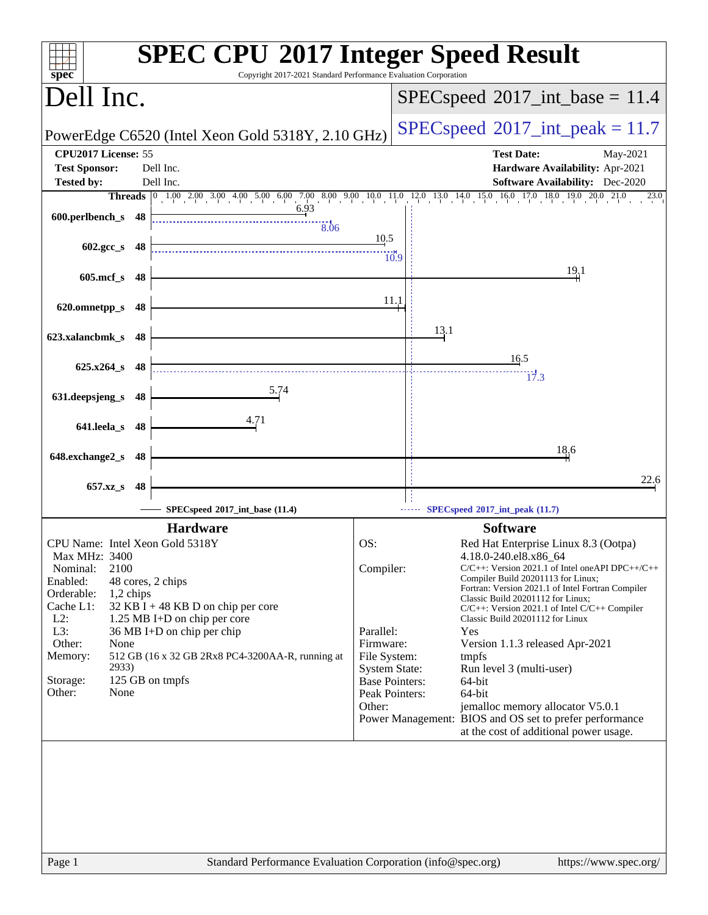| spec <sup>®</sup>                                                           | <b>SPEC CPU®2017 Integer Speed Result</b><br>Copyright 2017-2021 Standard Performance Evaluation Corporation               |
|-----------------------------------------------------------------------------|----------------------------------------------------------------------------------------------------------------------------|
| Dell Inc.                                                                   | $SPEC speed^{\circ}2017\_int\_base = 11.4$                                                                                 |
| PowerEdge C6520 (Intel Xeon Gold 5318Y, 2.10 GHz)                           | $SPEC speed^{\circ}2017\_int\_peak = 11.7$                                                                                 |
| CPU2017 License: 55                                                         | <b>Test Date:</b><br>May-2021                                                                                              |
| <b>Test Sponsor:</b><br>Dell Inc.                                           | Hardware Availability: Apr-2021                                                                                            |
| Dell Inc.<br><b>Tested by:</b>                                              | <b>Software Availability:</b> Dec-2020                                                                                     |
| 6.93                                                                        | Threads 0 1.00 2.00 3.00 4.00 5.00 6.00 7.00 8.00 9.00 10.0 11.0 12.0 13.0 14.0 15.0 16.0 17.0 18.0 19.0 20.0 21.0<br>23.0 |
| 600.perlbench_s 48<br>$\frac{1}{8.06}$                                      |                                                                                                                            |
|                                                                             | 10.5                                                                                                                       |
| $602.\text{gcc s}$ 48                                                       | 10.9                                                                                                                       |
|                                                                             | 19,1                                                                                                                       |
| $605$ .mcf_s<br>- 48                                                        |                                                                                                                            |
| 620.omnetpp_s<br>48                                                         | 11.1                                                                                                                       |
|                                                                             |                                                                                                                            |
| 623.xalancbmk_s 48                                                          | 13.1                                                                                                                       |
|                                                                             |                                                                                                                            |
| $625.x264_s$<br>- 48                                                        | 16.5                                                                                                                       |
|                                                                             | 17.3                                                                                                                       |
| <u>5.74</u><br>631.deepsjeng_s<br>48                                        |                                                                                                                            |
| 4.71                                                                        |                                                                                                                            |
| 641.leela_s 48                                                              |                                                                                                                            |
|                                                                             | 18,6                                                                                                                       |
| 648.exchange2_s 48                                                          |                                                                                                                            |
| 657.xz_s<br>48                                                              | 22.6                                                                                                                       |
|                                                                             |                                                                                                                            |
| SPECspeed®2017_int_base (11.4)                                              | SPECspeed®2017_int_peak (11.7)                                                                                             |
| <b>Hardware</b>                                                             | <b>Software</b>                                                                                                            |
| CPU Name: Intel Xeon Gold 5318Y                                             | OS:<br>Red Hat Enterprise Linux 8.3 (Ootpa)                                                                                |
| Max MHz: 3400<br>2100<br>Nominal:                                           | 4.18.0-240.el8.x86_64<br>Compiler:<br>$C/C++$ : Version 2021.1 of Intel one API DPC++/C++                                  |
| Enabled:<br>48 cores, 2 chips                                               | Compiler Build 20201113 for Linux;                                                                                         |
| Orderable:<br>1,2 chips                                                     | Fortran: Version 2021.1 of Intel Fortran Compiler<br>Classic Build 20201112 for Linux;                                     |
| Cache L1:<br>$32$ KB I + 48 KB D on chip per core                           | $C/C++$ : Version 2021.1 of Intel $C/C++$ Compiler                                                                         |
| $L2$ :<br>1.25 MB I+D on chip per core<br>L3:<br>36 MB I+D on chip per chip | Classic Build 20201112 for Linux<br>Parallel:<br>Yes                                                                       |
| Other:<br>None                                                              | Firmware:<br>Version 1.1.3 released Apr-2021                                                                               |
| 512 GB (16 x 32 GB 2Rx8 PC4-3200AA-R, running at<br>Memory:                 | File System:<br>tmpfs                                                                                                      |
| 2933)                                                                       | <b>System State:</b><br>Run level 3 (multi-user)                                                                           |
| 125 GB on tmpfs<br>Storage:<br>Other:<br>None                               | <b>Base Pointers:</b><br>64-bit<br>Peak Pointers:<br>64-bit                                                                |
|                                                                             | Other:<br>jemalloc memory allocator V5.0.1                                                                                 |
|                                                                             | Power Management: BIOS and OS set to prefer performance                                                                    |
|                                                                             | at the cost of additional power usage.                                                                                     |
|                                                                             |                                                                                                                            |
|                                                                             |                                                                                                                            |
|                                                                             |                                                                                                                            |
|                                                                             |                                                                                                                            |
|                                                                             |                                                                                                                            |
|                                                                             |                                                                                                                            |
|                                                                             |                                                                                                                            |
| Page 1                                                                      | Standard Performance Evaluation Corporation (info@spec.org)<br>https://www.spec.org/                                       |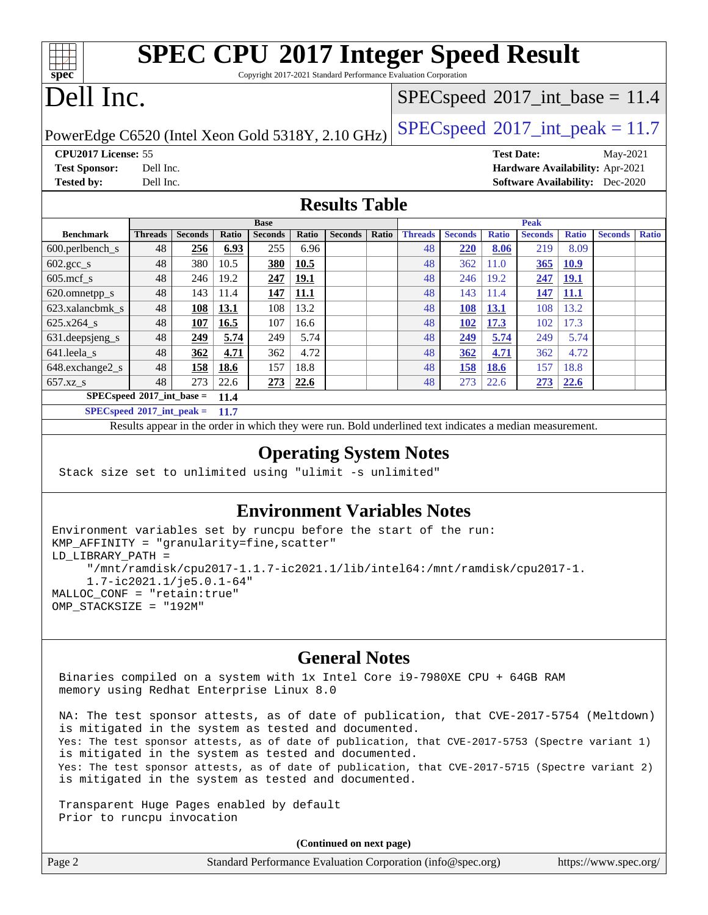| <b>SPEC CPU®2017 Integer Speed Result</b><br>spec<br>Copyright 2017-2021 Standard Performance Evaluation Corporation |                |                |              |                |              |                |                                            |                |                |                   |                |              |                                        |              |
|----------------------------------------------------------------------------------------------------------------------|----------------|----------------|--------------|----------------|--------------|----------------|--------------------------------------------|----------------|----------------|-------------------|----------------|--------------|----------------------------------------|--------------|
| Dell Inc.                                                                                                            |                |                |              |                |              |                | $SPEC speed^{\circ}2017\_int\_base = 11.4$ |                |                |                   |                |              |                                        |              |
| $SPEC speed$ <sup>®</sup> $2017$ _int_peak = 11.7<br>PowerEdge C6520 (Intel Xeon Gold 5318Y, 2.10 GHz)               |                |                |              |                |              |                |                                            |                |                |                   |                |              |                                        |              |
| CPU2017 License: 55                                                                                                  |                |                |              |                |              |                |                                            |                |                | <b>Test Date:</b> |                |              | May-2021                               |              |
| <b>Test Sponsor:</b>                                                                                                 | Dell Inc.      |                |              |                |              |                |                                            |                |                |                   |                |              | Hardware Availability: Apr-2021        |              |
| <b>Tested by:</b>                                                                                                    | Dell Inc.      |                |              |                |              |                |                                            |                |                |                   |                |              | <b>Software Availability:</b> Dec-2020 |              |
| <b>Results Table</b>                                                                                                 |                |                |              |                |              |                |                                            |                |                |                   |                |              |                                        |              |
|                                                                                                                      |                |                |              | <b>Base</b>    |              |                |                                            |                |                |                   | <b>Peak</b>    |              |                                        |              |
| <b>Benchmark</b>                                                                                                     | <b>Threads</b> | <b>Seconds</b> | <b>Ratio</b> | <b>Seconds</b> | <b>Ratio</b> | <b>Seconds</b> | Ratio                                      | <b>Threads</b> | <b>Seconds</b> | <b>Ratio</b>      | <b>Seconds</b> | <b>Ratio</b> | <b>Seconds</b>                         | <b>Ratio</b> |
| 600.perlbench_s                                                                                                      | 48             | 256            | 6.93         | 255            | 6.96         |                |                                            | 48             | 220            | 8.06              | 219            | 8.09         |                                        |              |
| $602.\text{gcc}\_\text{s}$                                                                                           | 48             | 380            | 10.5         | 380            | 10.5         |                |                                            | 48             | 362            | 11.0              | 365            | <b>10.9</b>  |                                        |              |
| $605$ .mcf s                                                                                                         | 48             | 246            | 19.2         | 247            | 19.1         |                |                                            | 48             | 246            | 19.2              | 247            | <b>19.1</b>  |                                        |              |
| 620.omnetpp_s                                                                                                        | 48             | 143            | 11.4         | 147            | 11.1         |                |                                            | 48             | 143            | 11.4              | 147            | 11.1         |                                        |              |
| 623.xalancbmk s                                                                                                      | 48             | 108            | 13.1         | 108            | 13.2         |                |                                            | 48             | 108            | 13.1              | 108            | 13.2         |                                        |              |
| $625.x264$ s                                                                                                         | 48             | 107            | 16.5         | 107            | 16.6         |                |                                            | 48             | 102            | 17.3              | 102            | 17.3         |                                        |              |
| 631.deepsjeng_s                                                                                                      | 48             | 249            | 5.74         | 249            | 5.74         |                |                                            | 48             | 249            | 5.74              | 249            | 5.74         |                                        |              |
| 641.leela s                                                                                                          | 48             | 362            | 4.71         | 362            | 4.72         |                |                                            | 48             | 362            | 4.71              | 362            | 4.72         |                                        |              |
| 648.exchange2_s                                                                                                      | 48             | 158            | 18.6         | 157            | 18.8         |                |                                            | 48             | 158            | 18.6              | 157            | 18.8         |                                        |              |
| $657.xz$ <sub>S</sub>                                                                                                | 48             | 273            | 22.6         | 273            | 22.6         |                |                                            | 48             | 273            | 22.6              | 273            | 22.6         |                                        |              |

**[SPECspeed](http://www.spec.org/auto/cpu2017/Docs/result-fields.html#SPECspeed2017intbase)[2017\\_int\\_base =](http://www.spec.org/auto/cpu2017/Docs/result-fields.html#SPECspeed2017intbase) 11.4 [SPECspeed](http://www.spec.org/auto/cpu2017/Docs/result-fields.html#SPECspeed2017intpeak)[2017\\_int\\_peak =](http://www.spec.org/auto/cpu2017/Docs/result-fields.html#SPECspeed2017intpeak) 11.7**

Results appear in the [order in which they were run.](http://www.spec.org/auto/cpu2017/Docs/result-fields.html#RunOrder) Bold underlined text [indicates a median measurement.](http://www.spec.org/auto/cpu2017/Docs/result-fields.html#Median)

#### **[Operating System Notes](http://www.spec.org/auto/cpu2017/Docs/result-fields.html#OperatingSystemNotes)**

Stack size set to unlimited using "ulimit -s unlimited"

### **[Environment Variables Notes](http://www.spec.org/auto/cpu2017/Docs/result-fields.html#EnvironmentVariablesNotes)**

```
Environment variables set by runcpu before the start of the run:
KMP_AFFINITY = "granularity=fine,scatter"
LD_LIBRARY_PATH =
      "/mnt/ramdisk/cpu2017-1.1.7-ic2021.1/lib/intel64:/mnt/ramdisk/cpu2017-1.
      1.7-ic2021.1/je5.0.1-64"
MALLOC_CONF = "retain:true"
OMP_STACKSIZE = "192M"
```
#### **[General Notes](http://www.spec.org/auto/cpu2017/Docs/result-fields.html#GeneralNotes)**

 Binaries compiled on a system with 1x Intel Core i9-7980XE CPU + 64GB RAM memory using Redhat Enterprise Linux 8.0

 NA: The test sponsor attests, as of date of publication, that CVE-2017-5754 (Meltdown) is mitigated in the system as tested and documented. Yes: The test sponsor attests, as of date of publication, that CVE-2017-5753 (Spectre variant 1) is mitigated in the system as tested and documented. Yes: The test sponsor attests, as of date of publication, that CVE-2017-5715 (Spectre variant 2) is mitigated in the system as tested and documented.

 Transparent Huge Pages enabled by default Prior to runcpu invocation

**(Continued on next page)**

| Page 2 | Standard Performance Evaluation Corporation (info@spec.org) | https://www.spec.org/ |
|--------|-------------------------------------------------------------|-----------------------|
|        |                                                             |                       |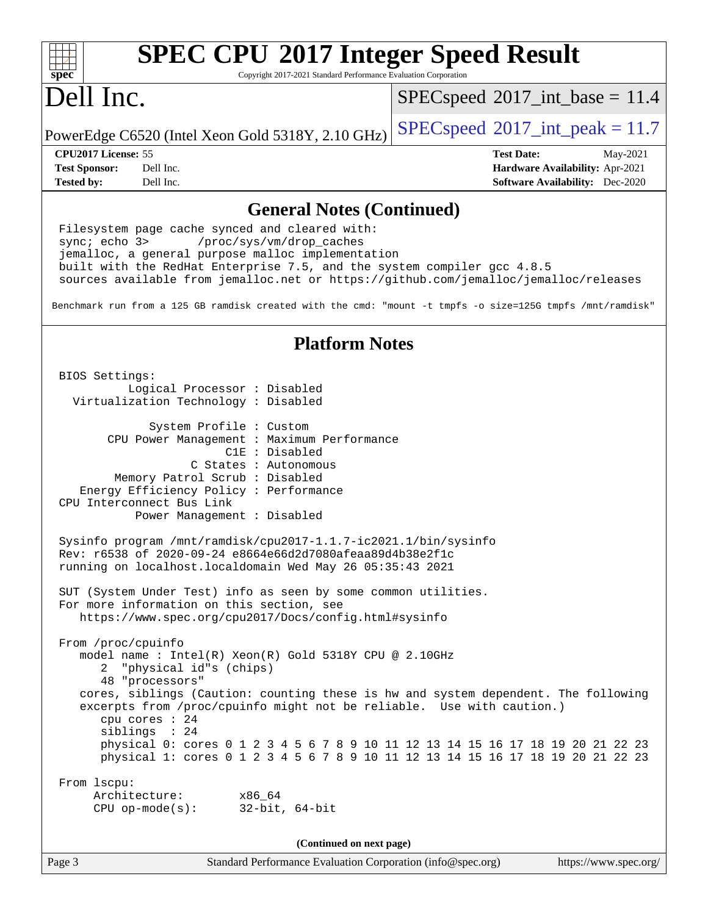| <b>SPEC CPU®2017 Integer Speed Result</b>                                                                                                                                                                                                                                                                                                                                                                                                                                                               |                                                                                                                   |
|---------------------------------------------------------------------------------------------------------------------------------------------------------------------------------------------------------------------------------------------------------------------------------------------------------------------------------------------------------------------------------------------------------------------------------------------------------------------------------------------------------|-------------------------------------------------------------------------------------------------------------------|
| $spec^*$<br>Copyright 2017-2021 Standard Performance Evaluation Corporation                                                                                                                                                                                                                                                                                                                                                                                                                             |                                                                                                                   |
| Dell Inc.                                                                                                                                                                                                                                                                                                                                                                                                                                                                                               | $SPEC speed^{\circ}2017\_int\_base = 11.4$                                                                        |
| PowerEdge C6520 (Intel Xeon Gold 5318Y, 2.10 GHz)                                                                                                                                                                                                                                                                                                                                                                                                                                                       | $SPEC speed^{\circ}2017\_int\_peak = 11.7$                                                                        |
| CPU2017 License: 55<br>Dell Inc.<br><b>Test Sponsor:</b><br><b>Tested by:</b><br>Dell Inc.                                                                                                                                                                                                                                                                                                                                                                                                              | <b>Test Date:</b><br>May-2021<br><b>Hardware Availability: Apr-2021</b><br><b>Software Availability:</b> Dec-2020 |
| <b>General Notes (Continued)</b>                                                                                                                                                                                                                                                                                                                                                                                                                                                                        |                                                                                                                   |
| Filesystem page cache synced and cleared with:<br>sync $i$ echo $3$<br>/proc/sys/vm/drop_caches<br>jemalloc, a general purpose malloc implementation<br>built with the RedHat Enterprise 7.5, and the system compiler gcc 4.8.5<br>sources available from jemalloc.net or https://github.com/jemalloc/jemalloc/releases<br>Benchmark run from a 125 GB ramdisk created with the cmd: "mount -t tmpfs -o size=125G tmpfs /mnt/ramdisk"                                                                   |                                                                                                                   |
| <b>Platform Notes</b>                                                                                                                                                                                                                                                                                                                                                                                                                                                                                   |                                                                                                                   |
| BIOS Settings:<br>Logical Processor : Disabled<br>Virtualization Technology : Disabled<br>System Profile : Custom<br>CPU Power Management : Maximum Performance<br>C1E : Disabled<br>C States : Autonomous<br>Memory Patrol Scrub : Disabled<br>Energy Efficiency Policy : Performance<br>CPU Interconnect Bus Link<br>Power Management : Disabled                                                                                                                                                      |                                                                                                                   |
| Sysinfo program /mnt/ramdisk/cpu2017-1.1.7-ic2021.1/bin/sysinfo<br>Rev: r6538 of 2020-09-24 e8664e66d2d7080afeaa89d4b38e2f1c<br>running on localhost.localdomain Wed May 26 05:35:43 2021                                                                                                                                                                                                                                                                                                               |                                                                                                                   |
| SUT (System Under Test) info as seen by some common utilities.<br>For more information on this section, see<br>https://www.spec.org/cpu2017/Docs/config.html#sysinfo                                                                                                                                                                                                                                                                                                                                    |                                                                                                                   |
| From /proc/cpuinfo<br>model name: $Intel(R)$ Xeon(R) Gold 5318Y CPU @ 2.10GHz<br>"physical id"s (chips)<br>2<br>48 "processors"<br>cores, siblings (Caution: counting these is hw and system dependent. The following<br>excerpts from /proc/cpuinfo might not be reliable. Use with caution.)<br>cpu cores : 24<br>siblings : 24<br>physical 0: cores 0 1 2 3 4 5 6 7 8 9 10 11 12 13 14 15 16 17 18 19 20 21 22 23<br>physical 1: cores 0 1 2 3 4 5 6 7 8 9 10 11 12 13 14 15 16 17 18 19 20 21 22 23 |                                                                                                                   |
| From 1scpu:<br>Architecture:<br>x86_64<br>$CPU$ op-mode(s):<br>$32$ -bit, $64$ -bit                                                                                                                                                                                                                                                                                                                                                                                                                     |                                                                                                                   |
| (Continued on next page)                                                                                                                                                                                                                                                                                                                                                                                                                                                                                |                                                                                                                   |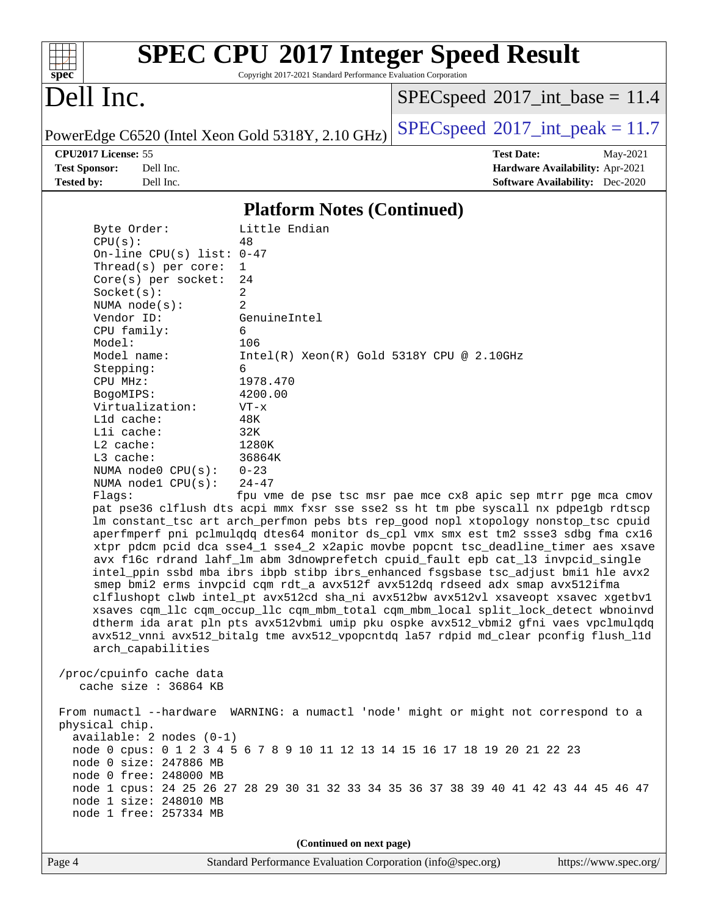| $s\overline{p}\overline{e}\overline{c}$ |                                                      | Copyright 2017-2021 Standard Performance Evaluation Corporation | <b>SPEC CPU®2017 Integer Speed Result</b>                                                                                                                                                                                                                        |  |  |  |  |  |
|-----------------------------------------|------------------------------------------------------|-----------------------------------------------------------------|------------------------------------------------------------------------------------------------------------------------------------------------------------------------------------------------------------------------------------------------------------------|--|--|--|--|--|
| Dell Inc.                               |                                                      |                                                                 | $SPEC speed^{\circ}2017\_int\_base = 11.4$                                                                                                                                                                                                                       |  |  |  |  |  |
|                                         |                                                      | PowerEdge C6520 (Intel Xeon Gold 5318Y, 2.10 GHz)               | $SPEC speed^{\circ}2017\_int\_peak = 11.7$                                                                                                                                                                                                                       |  |  |  |  |  |
|                                         | CPU2017 License: 55                                  |                                                                 | <b>Test Date:</b><br>May-2021                                                                                                                                                                                                                                    |  |  |  |  |  |
| <b>Test Sponsor:</b>                    | Dell Inc.                                            |                                                                 | Hardware Availability: Apr-2021                                                                                                                                                                                                                                  |  |  |  |  |  |
| <b>Tested by:</b>                       | Dell Inc.                                            |                                                                 | <b>Software Availability:</b> Dec-2020                                                                                                                                                                                                                           |  |  |  |  |  |
|                                         | <b>Platform Notes (Continued)</b>                    |                                                                 |                                                                                                                                                                                                                                                                  |  |  |  |  |  |
|                                         | Byte Order:                                          | Little Endian                                                   |                                                                                                                                                                                                                                                                  |  |  |  |  |  |
|                                         | CPU(s):                                              | 48                                                              |                                                                                                                                                                                                                                                                  |  |  |  |  |  |
|                                         | On-line CPU(s) list: $0-47$                          |                                                                 |                                                                                                                                                                                                                                                                  |  |  |  |  |  |
|                                         | Thread( $s$ ) per core:                              | 1<br>24                                                         |                                                                                                                                                                                                                                                                  |  |  |  |  |  |
|                                         | $Core(s)$ per socket:<br>Socket(s):                  | 2                                                               |                                                                                                                                                                                                                                                                  |  |  |  |  |  |
|                                         | NUMA $node(s)$ :                                     | 2                                                               |                                                                                                                                                                                                                                                                  |  |  |  |  |  |
|                                         | Vendor ID:                                           | GenuineIntel                                                    |                                                                                                                                                                                                                                                                  |  |  |  |  |  |
|                                         | CPU family:                                          | 6                                                               |                                                                                                                                                                                                                                                                  |  |  |  |  |  |
|                                         | Model:                                               | 106                                                             |                                                                                                                                                                                                                                                                  |  |  |  |  |  |
|                                         | Model name:                                          | $Intel(R) Xeon(R) Gold 5318Y CPU @ 2.10GHz$<br>6                |                                                                                                                                                                                                                                                                  |  |  |  |  |  |
|                                         | Stepping:<br>CPU MHz:                                | 1978.470                                                        |                                                                                                                                                                                                                                                                  |  |  |  |  |  |
|                                         | BogoMIPS:                                            | 4200.00                                                         |                                                                                                                                                                                                                                                                  |  |  |  |  |  |
|                                         | Virtualization:                                      | $VT - x$                                                        |                                                                                                                                                                                                                                                                  |  |  |  |  |  |
|                                         | L1d cache:                                           | 48K                                                             |                                                                                                                                                                                                                                                                  |  |  |  |  |  |
|                                         | Lli cache:                                           | 32K                                                             |                                                                                                                                                                                                                                                                  |  |  |  |  |  |
|                                         | L2 cache:<br>L3 cache:                               | 1280K<br>36864K                                                 |                                                                                                                                                                                                                                                                  |  |  |  |  |  |
|                                         | NUMA $node0$ $CPU(s)$ :                              | $0 - 23$                                                        |                                                                                                                                                                                                                                                                  |  |  |  |  |  |
|                                         | NUMA nodel CPU(s):                                   | $24 - 47$                                                       |                                                                                                                                                                                                                                                                  |  |  |  |  |  |
|                                         | Flags:                                               |                                                                 | fpu vme de pse tsc msr pae mce cx8 apic sep mtrr pge mca cmov                                                                                                                                                                                                    |  |  |  |  |  |
|                                         |                                                      |                                                                 | pat pse36 clflush dts acpi mmx fxsr sse sse2 ss ht tm pbe syscall nx pdpelgb rdtscp<br>lm constant_tsc art arch_perfmon pebs bts rep_good nopl xtopology nonstop_tsc cpuid<br>aperfmperf pni pclmulqdq dtes64 monitor ds_cpl vmx smx est tm2 ssse3 sdbg fma cx16 |  |  |  |  |  |
|                                         |                                                      |                                                                 | xtpr pdcm pcid dca sse4_1 sse4_2 x2apic movbe popcnt tsc_deadline_timer aes xsave<br>avx f16c rdrand lahf_lm abm 3dnowprefetch cpuid_fault epb cat_13 invpcid_single<br>intel_ppin ssbd mba ibrs ibpb stibp ibrs_enhanced fsgsbase tsc_adjust bmil hle avx2      |  |  |  |  |  |
|                                         |                                                      |                                                                 | smep bmi2 erms invpcid cqm rdt_a avx512f avx512dq rdseed adx smap avx512ifma<br>clflushopt clwb intel_pt avx512cd sha_ni avx512bw avx512vl xsaveopt xsavec xgetbvl                                                                                               |  |  |  |  |  |
|                                         |                                                      |                                                                 | xsaves cqm_llc cqm_occup_llc cqm_mbm_total cqm_mbm_local split_lock_detect wbnoinvd<br>dtherm ida arat pln pts avx512vbmi umip pku ospke avx512_vbmi2 gfni vaes vpclmulqdq                                                                                       |  |  |  |  |  |
|                                         | arch_capabilities                                    |                                                                 | avx512_vnni avx512_bitalg tme avx512_vpopcntdq la57 rdpid md_clear pconfig flush_l1d                                                                                                                                                                             |  |  |  |  |  |
|                                         | /proc/cpuinfo cache data<br>cache size : 36864 KB    |                                                                 |                                                                                                                                                                                                                                                                  |  |  |  |  |  |
|                                         | physical chip.                                       |                                                                 | From numactl --hardware WARNING: a numactl 'node' might or might not correspond to a                                                                                                                                                                             |  |  |  |  |  |
|                                         | $available: 2 nodes (0-1)$<br>node 0 size: 247886 MB |                                                                 | node 0 cpus: 0 1 2 3 4 5 6 7 8 9 10 11 12 13 14 15 16 17 18 19 20 21 22 23                                                                                                                                                                                       |  |  |  |  |  |
|                                         | node 0 free: 248000 MB<br>node 1 size: 248010 MB     |                                                                 | node 1 cpus: 24 25 26 27 28 29 30 31 32 33 34 35 36 37 38 39 40 41 42 43 44 45 46 47                                                                                                                                                                             |  |  |  |  |  |
|                                         | node 1 free: 257334 MB                               |                                                                 |                                                                                                                                                                                                                                                                  |  |  |  |  |  |

**(Continued on next page)**

Page 4 Standard Performance Evaluation Corporation [\(info@spec.org\)](mailto:info@spec.org) <https://www.spec.org/>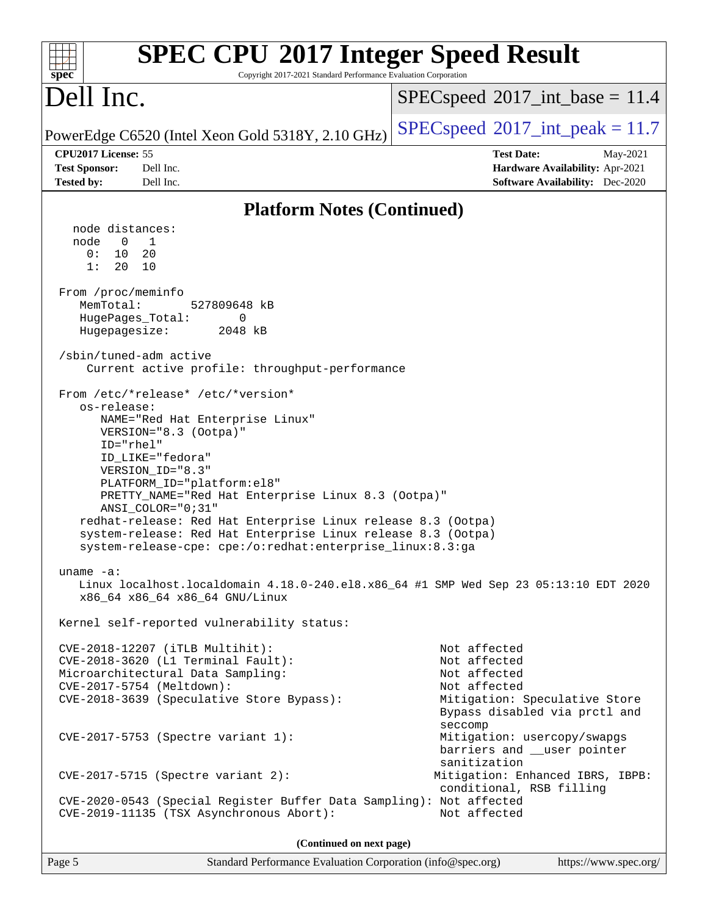| $spec^*$                                                         | <b>SPEC CPU®2017 Integer Speed Result</b><br>Copyright 2017-2021 Standard Performance Evaluation Corporation                                                                                                                                                                                                                                                                                                                                 |                                                                                                                                           |  |  |  |  |  |
|------------------------------------------------------------------|----------------------------------------------------------------------------------------------------------------------------------------------------------------------------------------------------------------------------------------------------------------------------------------------------------------------------------------------------------------------------------------------------------------------------------------------|-------------------------------------------------------------------------------------------------------------------------------------------|--|--|--|--|--|
| Dell Inc.                                                        |                                                                                                                                                                                                                                                                                                                                                                                                                                              | $SPEC speed^{\circ}2017\_int\_base = 11.4$                                                                                                |  |  |  |  |  |
|                                                                  | PowerEdge C6520 (Intel Xeon Gold 5318Y, 2.10 GHz)                                                                                                                                                                                                                                                                                                                                                                                            | $SPEC speed^{\circ}2017\_int\_peak = 11.7$                                                                                                |  |  |  |  |  |
| CPU2017 License: 55<br><b>Test Sponsor:</b><br><b>Tested by:</b> | Dell Inc.<br>Dell Inc.                                                                                                                                                                                                                                                                                                                                                                                                                       | <b>Test Date:</b><br>May-2021<br>Hardware Availability: Apr-2021<br><b>Software Availability:</b> Dec-2020                                |  |  |  |  |  |
|                                                                  | <b>Platform Notes (Continued)</b>                                                                                                                                                                                                                                                                                                                                                                                                            |                                                                                                                                           |  |  |  |  |  |
| node distances:                                                  |                                                                                                                                                                                                                                                                                                                                                                                                                                              |                                                                                                                                           |  |  |  |  |  |
| node<br>$\overline{0}$<br>0:<br>10<br>1:<br>20                   | 1<br>20<br>10                                                                                                                                                                                                                                                                                                                                                                                                                                |                                                                                                                                           |  |  |  |  |  |
| From /proc/meminfo<br>MemTotal:<br>Hugepagesize:                 | 527809648 kB<br>HugePages_Total:<br>0<br>2048 kB                                                                                                                                                                                                                                                                                                                                                                                             |                                                                                                                                           |  |  |  |  |  |
|                                                                  |                                                                                                                                                                                                                                                                                                                                                                                                                                              |                                                                                                                                           |  |  |  |  |  |
|                                                                  | /sbin/tuned-adm active<br>Current active profile: throughput-performance                                                                                                                                                                                                                                                                                                                                                                     |                                                                                                                                           |  |  |  |  |  |
| os-release:<br>$ID="rhe1"$                                       | From /etc/*release* /etc/*version*<br>NAME="Red Hat Enterprise Linux"<br>VERSION="8.3 (Ootpa)"<br>ID_LIKE="fedora"<br>VERSION_ID="8.3"<br>PLATFORM_ID="platform:el8"<br>PRETTY_NAME="Red Hat Enterprise Linux 8.3 (Ootpa)"<br>ANSI_COLOR="0;31"<br>redhat-release: Red Hat Enterprise Linux release 8.3 (Ootpa)<br>system-release: Red Hat Enterprise Linux release 8.3 (Ootpa)<br>system-release-cpe: cpe:/o:redhat:enterprise_linux:8.3:ga |                                                                                                                                           |  |  |  |  |  |
| uname $-a$ :                                                     | x86_64 x86_64 x86_64 GNU/Linux                                                                                                                                                                                                                                                                                                                                                                                                               | Linux localhost.localdomain 4.18.0-240.el8.x86_64 #1 SMP Wed Sep 23 05:13:10 EDT 2020                                                     |  |  |  |  |  |
|                                                                  | Kernel self-reported vulnerability status:                                                                                                                                                                                                                                                                                                                                                                                                   |                                                                                                                                           |  |  |  |  |  |
|                                                                  | CVE-2018-12207 (iTLB Multihit):<br>CVE-2018-3620 (L1 Terminal Fault):<br>Microarchitectural Data Sampling:<br>CVE-2017-5754 (Meltdown):<br>CVE-2018-3639 (Speculative Store Bypass):                                                                                                                                                                                                                                                         | Not affected<br>Not affected<br>Not affected<br>Not affected<br>Mitigation: Speculative Store<br>Bypass disabled via prctl and<br>seccomp |  |  |  |  |  |
|                                                                  | CVE-2017-5753 (Spectre variant 1):                                                                                                                                                                                                                                                                                                                                                                                                           | Mitigation: usercopy/swapgs<br>barriers and __user pointer<br>sanitization                                                                |  |  |  |  |  |
|                                                                  | $CVE-2017-5715$ (Spectre variant 2):                                                                                                                                                                                                                                                                                                                                                                                                         | Mitigation: Enhanced IBRS, IBPB:<br>conditional, RSB filling                                                                              |  |  |  |  |  |
|                                                                  | CVE-2020-0543 (Special Register Buffer Data Sampling): Not affected<br>CVE-2019-11135 (TSX Asynchronous Abort):                                                                                                                                                                                                                                                                                                                              | Not affected                                                                                                                              |  |  |  |  |  |
|                                                                  | (Continued on next page)                                                                                                                                                                                                                                                                                                                                                                                                                     |                                                                                                                                           |  |  |  |  |  |
| Page 5                                                           | Standard Performance Evaluation Corporation (info@spec.org)                                                                                                                                                                                                                                                                                                                                                                                  | https://www.spec.org/                                                                                                                     |  |  |  |  |  |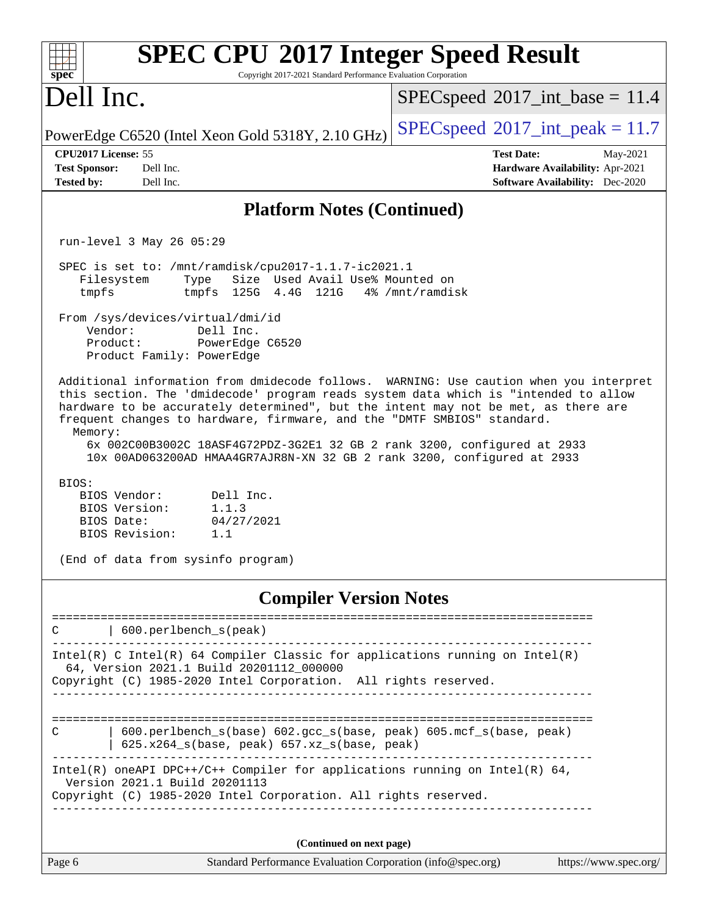| <b>SPEC CPU®2017 Integer Speed Result</b><br>Copyright 2017-2021 Standard Performance Evaluation Corporation<br>$spec^*$                                                                                                                                                                                                                                                                                                                                                                                                                                                         |                                                                                                            |
|----------------------------------------------------------------------------------------------------------------------------------------------------------------------------------------------------------------------------------------------------------------------------------------------------------------------------------------------------------------------------------------------------------------------------------------------------------------------------------------------------------------------------------------------------------------------------------|------------------------------------------------------------------------------------------------------------|
| Dell Inc.                                                                                                                                                                                                                                                                                                                                                                                                                                                                                                                                                                        | $SPEC speed^{\circ}2017\_int\_base = 11.4$                                                                 |
| PowerEdge C6520 (Intel Xeon Gold 5318Y, 2.10 GHz)                                                                                                                                                                                                                                                                                                                                                                                                                                                                                                                                | $SPEC speed^{\circ}2017\_int\_peak = 11.7$                                                                 |
| CPU2017 License: 55<br><b>Test Sponsor:</b><br>Dell Inc.<br><b>Tested by:</b><br>Dell Inc.                                                                                                                                                                                                                                                                                                                                                                                                                                                                                       | <b>Test Date:</b><br>May-2021<br>Hardware Availability: Apr-2021<br><b>Software Availability:</b> Dec-2020 |
| <b>Platform Notes (Continued)</b>                                                                                                                                                                                                                                                                                                                                                                                                                                                                                                                                                |                                                                                                            |
| run-level 3 May 26 05:29                                                                                                                                                                                                                                                                                                                                                                                                                                                                                                                                                         |                                                                                                            |
| SPEC is set to: /mnt/ramdisk/cpu2017-1.1.7-ic2021.1<br>Size Used Avail Use% Mounted on<br>Filesystem<br>Type<br>tmpfs 125G 4.4G 121G<br>tmpfs<br>From /sys/devices/virtual/dmi/id<br>Vendor:<br>Dell Inc.<br>PowerEdge C6520<br>Product:                                                                                                                                                                                                                                                                                                                                         | 4% /mnt/ramdisk                                                                                            |
| Product Family: PowerEdge                                                                                                                                                                                                                                                                                                                                                                                                                                                                                                                                                        |                                                                                                            |
| Additional information from dmidecode follows. WARNING: Use caution when you interpret<br>this section. The 'dmidecode' program reads system data which is "intended to allow<br>hardware to be accurately determined", but the intent may not be met, as there are<br>frequent changes to hardware, firmware, and the "DMTF SMBIOS" standard.<br>Memory:<br>6x 002C00B3002C 18ASF4G72PDZ-3G2E1 32 GB 2 rank 3200, configured at 2933<br>10x 00AD063200AD HMAA4GR7AJR8N-XN 32 GB 2 rank 3200, configured at 2933<br>BIOS:<br>Dell Inc.<br>BIOS Vendor:<br>BIOS Version:<br>1.1.3 |                                                                                                            |
| BIOS Date:<br>04/27/2021<br>BIOS Revision:<br>1.1                                                                                                                                                                                                                                                                                                                                                                                                                                                                                                                                |                                                                                                            |
| (End of data from sysinfo program)                                                                                                                                                                                                                                                                                                                                                                                                                                                                                                                                               |                                                                                                            |
| <b>Compiler Version Notes</b>                                                                                                                                                                                                                                                                                                                                                                                                                                                                                                                                                    |                                                                                                            |
| 600.perlbench_s(peak)<br>С                                                                                                                                                                                                                                                                                                                                                                                                                                                                                                                                                       |                                                                                                            |
| Intel(R) C Intel(R) 64 Compiler Classic for applications running on $Intel(R)$<br>64, Version 2021.1 Build 20201112_000000<br>Copyright (C) 1985-2020 Intel Corporation. All rights reserved.                                                                                                                                                                                                                                                                                                                                                                                    |                                                                                                            |
| 600.perlbench_s(base) 602.gcc_s(base, peak) 605.mcf_s(base, peak)<br>C<br>625.x264_s(base, peak) 657.xz_s(base, peak)                                                                                                                                                                                                                                                                                                                                                                                                                                                            |                                                                                                            |
| Intel(R) oneAPI DPC++/C++ Compiler for applications running on Intel(R) 64,<br>Version 2021.1 Build 20201113<br>Copyright (C) 1985-2020 Intel Corporation. All rights reserved.                                                                                                                                                                                                                                                                                                                                                                                                  |                                                                                                            |
| (Continued on next page)                                                                                                                                                                                                                                                                                                                                                                                                                                                                                                                                                         |                                                                                                            |
| Standard Performance Evaluation Corporation (info@spec.org)<br>Page 6                                                                                                                                                                                                                                                                                                                                                                                                                                                                                                            | https://www.spec.org/                                                                                      |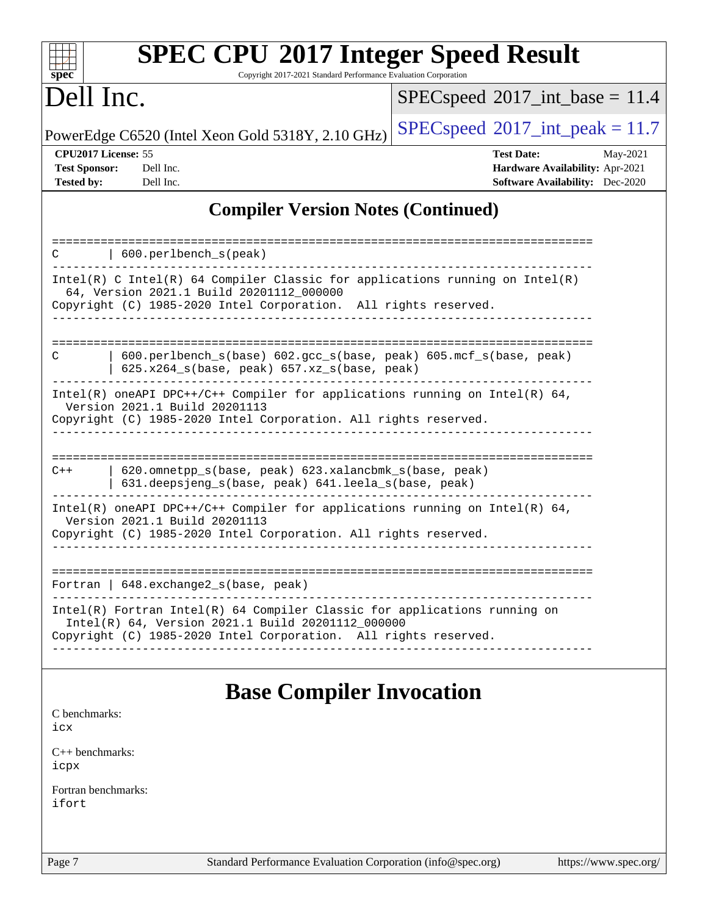| spec <sup>®</sup>                                                |                                          | Copyright 2017-2021 Standard Performance Evaluation Corporation                                                      | <b>SPEC CPU®2017 Integer Speed Result</b>                                      |                                                                                       |
|------------------------------------------------------------------|------------------------------------------|----------------------------------------------------------------------------------------------------------------------|--------------------------------------------------------------------------------|---------------------------------------------------------------------------------------|
| Dell Inc.                                                        |                                          |                                                                                                                      | $SPEC speed^{\circ}2017\_int\_base = 11.4$                                     |                                                                                       |
|                                                                  |                                          | PowerEdge C6520 (Intel Xeon Gold 5318Y, 2.10 GHz)                                                                    | $SPEC speed^{\circ}2017\_int\_peak = 11.7$                                     |                                                                                       |
| CPU2017 License: 55<br><b>Test Sponsor:</b><br><b>Tested by:</b> | Dell Inc.<br>Dell Inc.                   |                                                                                                                      | <b>Test Date:</b>                                                              | May-2021<br>Hardware Availability: Apr-2021<br><b>Software Availability:</b> Dec-2020 |
|                                                                  |                                          | <b>Compiler Version Notes (Continued)</b>                                                                            |                                                                                |                                                                                       |
|                                                                  | 600.perlbench_s(peak)                    |                                                                                                                      |                                                                                |                                                                                       |
|                                                                  | 64, Version 2021.1 Build 20201112_000000 | Copyright (C) 1985-2020 Intel Corporation. All rights reserved.                                                      | Intel(R) C Intel(R) 64 Compiler Classic for applications running on Intel(R)   |                                                                                       |
| C                                                                |                                          | 625.x264_s(base, peak) 657.xz_s(base, peak)                                                                          | 600.perlbench_s(base) 602.gcc_s(base, peak) 605.mcf_s(base, peak)              |                                                                                       |
|                                                                  | Version 2021.1 Build 20201113            | Copyright (C) 1985-2020 Intel Corporation. All rights reserved.                                                      | Intel(R) oneAPI DPC++/C++ Compiler for applications running on Intel(R) $64$ , |                                                                                       |
| $C++$                                                            |                                          | 620.omnetpp_s(base, peak) 623.xalancbmk_s(base, peak)<br>631.deepsjeng_s(base, peak) 641.leela_s(base, peak)         |                                                                                |                                                                                       |
|                                                                  | Version 2021.1 Build 20201113            | Copyright (C) 1985-2020 Intel Corporation. All rights reserved.                                                      | Intel(R) oneAPI DPC++/C++ Compiler for applications running on Intel(R) $64$ , |                                                                                       |
|                                                                  | Fortran   648. exchange 2_s (base, peak) |                                                                                                                      |                                                                                |                                                                                       |
|                                                                  |                                          | Intel(R) 64, Version 2021.1 Build 20201112_000000<br>Copyright (C) 1985-2020 Intel Corporation. All rights reserved. | $Intel(R)$ Fortran Intel(R) 64 Compiler Classic for applications running on    |                                                                                       |
|                                                                  |                                          | <b>Base Compiler Invocation</b>                                                                                      |                                                                                |                                                                                       |
| C benchmarks:<br>icx                                             |                                          |                                                                                                                      |                                                                                |                                                                                       |
| $C_{++}$ benchmarks:<br>icpx                                     |                                          |                                                                                                                      |                                                                                |                                                                                       |

[Fortran benchmarks](http://www.spec.org/auto/cpu2017/Docs/result-fields.html#Fortranbenchmarks): [ifort](http://www.spec.org/cpu2017/results/res2021q3/cpu2017-20210618-27116.flags.html#user_FCbase_intel_ifort_8111460550e3ca792625aed983ce982f94888b8b503583aa7ba2b8303487b4d8a21a13e7191a45c5fd58ff318f48f9492884d4413fa793fd88dd292cad7027ca)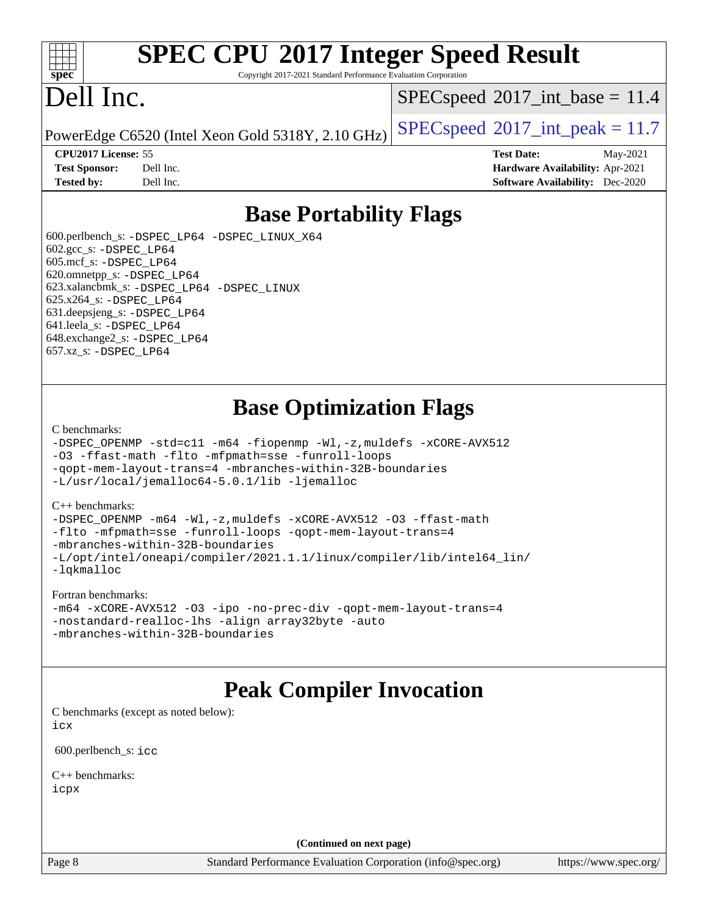

# **[SPEC CPU](http://www.spec.org/auto/cpu2017/Docs/result-fields.html#SPECCPU2017IntegerSpeedResult)[2017 Integer Speed Result](http://www.spec.org/auto/cpu2017/Docs/result-fields.html#SPECCPU2017IntegerSpeedResult)**

Copyright 2017-2021 Standard Performance Evaluation Corporation

# Dell Inc.

 $SPECspeed^{\circ}2017\_int\_base = 11.4$  $SPECspeed^{\circ}2017\_int\_base = 11.4$ 

PowerEdge C6520 (Intel Xeon Gold 5318Y, 2.10 GHz)  $\left|$  [SPECspeed](http://www.spec.org/auto/cpu2017/Docs/result-fields.html#SPECspeed2017intpeak)®[2017\\_int\\_peak = 1](http://www.spec.org/auto/cpu2017/Docs/result-fields.html#SPECspeed2017intpeak)1.7

**[CPU2017 License:](http://www.spec.org/auto/cpu2017/Docs/result-fields.html#CPU2017License)** 55 **[Test Date:](http://www.spec.org/auto/cpu2017/Docs/result-fields.html#TestDate)** May-2021 **[Test Sponsor:](http://www.spec.org/auto/cpu2017/Docs/result-fields.html#TestSponsor)** Dell Inc. **[Hardware Availability:](http://www.spec.org/auto/cpu2017/Docs/result-fields.html#HardwareAvailability)** Apr-2021 **[Tested by:](http://www.spec.org/auto/cpu2017/Docs/result-fields.html#Testedby)** Dell Inc. **[Software Availability:](http://www.spec.org/auto/cpu2017/Docs/result-fields.html#SoftwareAvailability)** Dec-2020

## **[Base Portability Flags](http://www.spec.org/auto/cpu2017/Docs/result-fields.html#BasePortabilityFlags)**

 600.perlbench\_s: [-DSPEC\\_LP64](http://www.spec.org/cpu2017/results/res2021q3/cpu2017-20210618-27116.flags.html#b600.perlbench_s_basePORTABILITY_DSPEC_LP64) [-DSPEC\\_LINUX\\_X64](http://www.spec.org/cpu2017/results/res2021q3/cpu2017-20210618-27116.flags.html#b600.perlbench_s_baseCPORTABILITY_DSPEC_LINUX_X64) 602.gcc\_s: [-DSPEC\\_LP64](http://www.spec.org/cpu2017/results/res2021q3/cpu2017-20210618-27116.flags.html#suite_basePORTABILITY602_gcc_s_DSPEC_LP64) 605.mcf\_s: [-DSPEC\\_LP64](http://www.spec.org/cpu2017/results/res2021q3/cpu2017-20210618-27116.flags.html#suite_basePORTABILITY605_mcf_s_DSPEC_LP64) 620.omnetpp\_s: [-DSPEC\\_LP64](http://www.spec.org/cpu2017/results/res2021q3/cpu2017-20210618-27116.flags.html#suite_basePORTABILITY620_omnetpp_s_DSPEC_LP64) 623.xalancbmk\_s: [-DSPEC\\_LP64](http://www.spec.org/cpu2017/results/res2021q3/cpu2017-20210618-27116.flags.html#suite_basePORTABILITY623_xalancbmk_s_DSPEC_LP64) [-DSPEC\\_LINUX](http://www.spec.org/cpu2017/results/res2021q3/cpu2017-20210618-27116.flags.html#b623.xalancbmk_s_baseCXXPORTABILITY_DSPEC_LINUX) 625.x264\_s: [-DSPEC\\_LP64](http://www.spec.org/cpu2017/results/res2021q3/cpu2017-20210618-27116.flags.html#suite_basePORTABILITY625_x264_s_DSPEC_LP64) 631.deepsjeng\_s: [-DSPEC\\_LP64](http://www.spec.org/cpu2017/results/res2021q3/cpu2017-20210618-27116.flags.html#suite_basePORTABILITY631_deepsjeng_s_DSPEC_LP64) 641.leela\_s: [-DSPEC\\_LP64](http://www.spec.org/cpu2017/results/res2021q3/cpu2017-20210618-27116.flags.html#suite_basePORTABILITY641_leela_s_DSPEC_LP64) 648.exchange2\_s: [-DSPEC\\_LP64](http://www.spec.org/cpu2017/results/res2021q3/cpu2017-20210618-27116.flags.html#suite_basePORTABILITY648_exchange2_s_DSPEC_LP64) 657.xz\_s: [-DSPEC\\_LP64](http://www.spec.org/cpu2017/results/res2021q3/cpu2017-20210618-27116.flags.html#suite_basePORTABILITY657_xz_s_DSPEC_LP64)

# **[Base Optimization Flags](http://www.spec.org/auto/cpu2017/Docs/result-fields.html#BaseOptimizationFlags)**

[C benchmarks](http://www.spec.org/auto/cpu2017/Docs/result-fields.html#Cbenchmarks):

```
-DSPEC_OPENMP -std=c11 -m64 -fiopenmp -Wl,-z,muldefs -xCORE-AVX512
-O3 -ffast-math -flto -mfpmath=sse -funroll-loops
-qopt-mem-layout-trans=4 -mbranches-within-32B-boundaries
-L/usr/local/jemalloc64-5.0.1/lib -ljemalloc
```
#### [C++ benchmarks:](http://www.spec.org/auto/cpu2017/Docs/result-fields.html#CXXbenchmarks)

[-DSPEC\\_OPENMP](http://www.spec.org/cpu2017/results/res2021q3/cpu2017-20210618-27116.flags.html#suite_CXXbase_DSPEC_OPENMP) [-m64](http://www.spec.org/cpu2017/results/res2021q3/cpu2017-20210618-27116.flags.html#user_CXXbase_m64-icc) [-Wl,-z,muldefs](http://www.spec.org/cpu2017/results/res2021q3/cpu2017-20210618-27116.flags.html#user_CXXbase_link_force_multiple1_b4cbdb97b34bdee9ceefcfe54f4c8ea74255f0b02a4b23e853cdb0e18eb4525ac79b5a88067c842dd0ee6996c24547a27a4b99331201badda8798ef8a743f577) [-xCORE-AVX512](http://www.spec.org/cpu2017/results/res2021q3/cpu2017-20210618-27116.flags.html#user_CXXbase_f-xCORE-AVX512) [-O3](http://www.spec.org/cpu2017/results/res2021q3/cpu2017-20210618-27116.flags.html#user_CXXbase_f-O3) [-ffast-math](http://www.spec.org/cpu2017/results/res2021q3/cpu2017-20210618-27116.flags.html#user_CXXbase_f-ffast-math) [-flto](http://www.spec.org/cpu2017/results/res2021q3/cpu2017-20210618-27116.flags.html#user_CXXbase_f-flto) [-mfpmath=sse](http://www.spec.org/cpu2017/results/res2021q3/cpu2017-20210618-27116.flags.html#user_CXXbase_f-mfpmath_70eb8fac26bde974f8ab713bc9086c5621c0b8d2f6c86f38af0bd7062540daf19db5f3a066d8c6684be05d84c9b6322eb3b5be6619d967835195b93d6c02afa1) [-funroll-loops](http://www.spec.org/cpu2017/results/res2021q3/cpu2017-20210618-27116.flags.html#user_CXXbase_f-funroll-loops) [-qopt-mem-layout-trans=4](http://www.spec.org/cpu2017/results/res2021q3/cpu2017-20210618-27116.flags.html#user_CXXbase_f-qopt-mem-layout-trans_fa39e755916c150a61361b7846f310bcdf6f04e385ef281cadf3647acec3f0ae266d1a1d22d972a7087a248fd4e6ca390a3634700869573d231a252c784941a8) [-mbranches-within-32B-boundaries](http://www.spec.org/cpu2017/results/res2021q3/cpu2017-20210618-27116.flags.html#user_CXXbase_f-mbranches-within-32B-boundaries) [-L/opt/intel/oneapi/compiler/2021.1.1/linux/compiler/lib/intel64\\_lin/](http://www.spec.org/cpu2017/results/res2021q3/cpu2017-20210618-27116.flags.html#user_CXXbase_linkpath_765a8c93c4ea33dfc565a33ecb48f4f7d02a6338709b3b362f341eb203a06426ce1d12ded4c7809f6ab6cf0e9f5515cffeb4efc405b63f85dc27a83bbbdeb3a3) [-lqkmalloc](http://www.spec.org/cpu2017/results/res2021q3/cpu2017-20210618-27116.flags.html#user_CXXbase_qkmalloc_link_lib_79a818439969f771c6bc311cfd333c00fc099dad35c030f5aab9dda831713d2015205805422f83de8875488a2991c0a156aaa600e1f9138f8fc37004abc96dc5)

#### [Fortran benchmarks](http://www.spec.org/auto/cpu2017/Docs/result-fields.html#Fortranbenchmarks):

```
-m64 -xCORE-AVX512 -O3 -ipo -no-prec-div -qopt-mem-layout-trans=4
-nostandard-realloc-lhs -align array32byte -auto
-mbranches-within-32B-boundaries
```
### **[Peak Compiler Invocation](http://www.spec.org/auto/cpu2017/Docs/result-fields.html#PeakCompilerInvocation)**

[C benchmarks \(except as noted below\)](http://www.spec.org/auto/cpu2017/Docs/result-fields.html#Cbenchmarksexceptasnotedbelow): [icx](http://www.spec.org/cpu2017/results/res2021q3/cpu2017-20210618-27116.flags.html#user_CCpeak_intel_icx_fe2d28d19ae2a5db7c42fe0f2a2aed77cb715edd4aeb23434404a8be6683fe239869bb6ca8154ca98265c2e3b9226a719a0efe2953a4a7018c379b7010ccf087)

600.perlbench\_s: [icc](http://www.spec.org/cpu2017/results/res2021q3/cpu2017-20210618-27116.flags.html#user_peakCCLD600_perlbench_s_intel_icc_66fc1ee009f7361af1fbd72ca7dcefbb700085f36577c54f309893dd4ec40d12360134090235512931783d35fd58c0460139e722d5067c5574d8eaf2b3e37e92)

[C++ benchmarks:](http://www.spec.org/auto/cpu2017/Docs/result-fields.html#CXXbenchmarks) [icpx](http://www.spec.org/cpu2017/results/res2021q3/cpu2017-20210618-27116.flags.html#user_CXXpeak_intel_icpx_1e918ed14c436bf4b9b7c8bcdd51d4539fc71b3df010bd1e9f8732d9c34c2b2914e48204a846820f3c0ebb4095dea797a5c30b458ac0b6dffac65d78f781f5ca)

**(Continued on next page)**

Page 8 Standard Performance Evaluation Corporation [\(info@spec.org\)](mailto:info@spec.org) <https://www.spec.org/>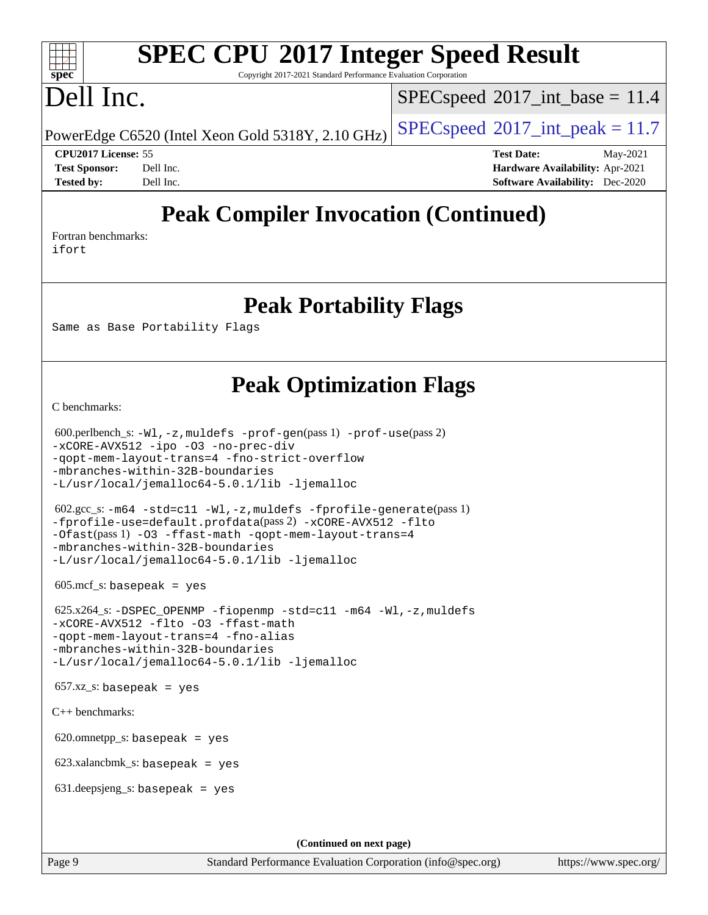# **[SPEC CPU](http://www.spec.org/auto/cpu2017/Docs/result-fields.html#SPECCPU2017IntegerSpeedResult)[2017 Integer Speed Result](http://www.spec.org/auto/cpu2017/Docs/result-fields.html#SPECCPU2017IntegerSpeedResult)**

Copyright 2017-2021 Standard Performance Evaluation Corporation

# Dell Inc.

**[spec](http://www.spec.org/)**

 $+\ +$ 

 $SPECspeed^{\circ}2017\_int\_base = 11.4$  $SPECspeed^{\circ}2017\_int\_base = 11.4$ 

PowerEdge C6520 (Intel Xeon Gold 5318Y, 2.10 GHz)  $\left|$  [SPECspeed](http://www.spec.org/auto/cpu2017/Docs/result-fields.html#SPECspeed2017intpeak)®[2017\\_int\\_peak = 1](http://www.spec.org/auto/cpu2017/Docs/result-fields.html#SPECspeed2017intpeak)1.7

**[CPU2017 License:](http://www.spec.org/auto/cpu2017/Docs/result-fields.html#CPU2017License)** 55 **[Test Date:](http://www.spec.org/auto/cpu2017/Docs/result-fields.html#TestDate)** May-2021 **[Test Sponsor:](http://www.spec.org/auto/cpu2017/Docs/result-fields.html#TestSponsor)** Dell Inc. **[Hardware Availability:](http://www.spec.org/auto/cpu2017/Docs/result-fields.html#HardwareAvailability)** Apr-2021 **[Tested by:](http://www.spec.org/auto/cpu2017/Docs/result-fields.html#Testedby)** Dell Inc. **[Software Availability:](http://www.spec.org/auto/cpu2017/Docs/result-fields.html#SoftwareAvailability)** Dec-2020

# **[Peak Compiler Invocation \(Continued\)](http://www.spec.org/auto/cpu2017/Docs/result-fields.html#PeakCompilerInvocation)**

[Fortran benchmarks](http://www.spec.org/auto/cpu2017/Docs/result-fields.html#Fortranbenchmarks): [ifort](http://www.spec.org/cpu2017/results/res2021q3/cpu2017-20210618-27116.flags.html#user_FCpeak_intel_ifort_8111460550e3ca792625aed983ce982f94888b8b503583aa7ba2b8303487b4d8a21a13e7191a45c5fd58ff318f48f9492884d4413fa793fd88dd292cad7027ca)

### **[Peak Portability Flags](http://www.spec.org/auto/cpu2017/Docs/result-fields.html#PeakPortabilityFlags)**

Same as Base Portability Flags

### **[Peak Optimization Flags](http://www.spec.org/auto/cpu2017/Docs/result-fields.html#PeakOptimizationFlags)**

[C benchmarks](http://www.spec.org/auto/cpu2017/Docs/result-fields.html#Cbenchmarks):

```
 600.perlbench_s: -Wl,-z,muldefs -prof-gen(pass 1) -prof-use(pass 2)
-xCORE-AVX512 -ipo -O3 -no-prec-div
-qopt-mem-layout-trans=4 -fno-strict-overflow
-mbranches-within-32B-boundaries
-L/usr/local/jemalloc64-5.0.1/lib -ljemalloc
 602.gcc_s: -m64 -std=c11 -Wl,-z,muldefs -fprofile-generate(pass 1)
-fprofile-use=default.profdata(pass 2) -xCORE-AVX512 -flto
-Ofast(pass 1) -O3 -ffast-math -qopt-mem-layout-trans=4
-mbranches-within-32B-boundaries
-L/usr/local/jemalloc64-5.0.1/lib -ljemalloc
605 \text{.mcf}\text{.s.} basepeak = yes
 625.x264_s: -DSPEC_OPENMP -fiopenmp -std=c11 -m64 -Wl,-z,muldefs
-xCORE-AVX512 -flto -O3 -ffast-math
-qopt-mem-layout-trans=4 -fno-alias
-mbranches-within-32B-boundaries
-L/usr/local/jemalloc64-5.0.1/lib -ljemalloc
657.xz_s: basepeak = yes
C++ benchmarks: 
620.omnetpp_s: basepeak = yes
 623.xalancbmk_s: basepeak = yes
 631.deepsjeng_s: basepeak = yes
                                       (Continued on next page)
```